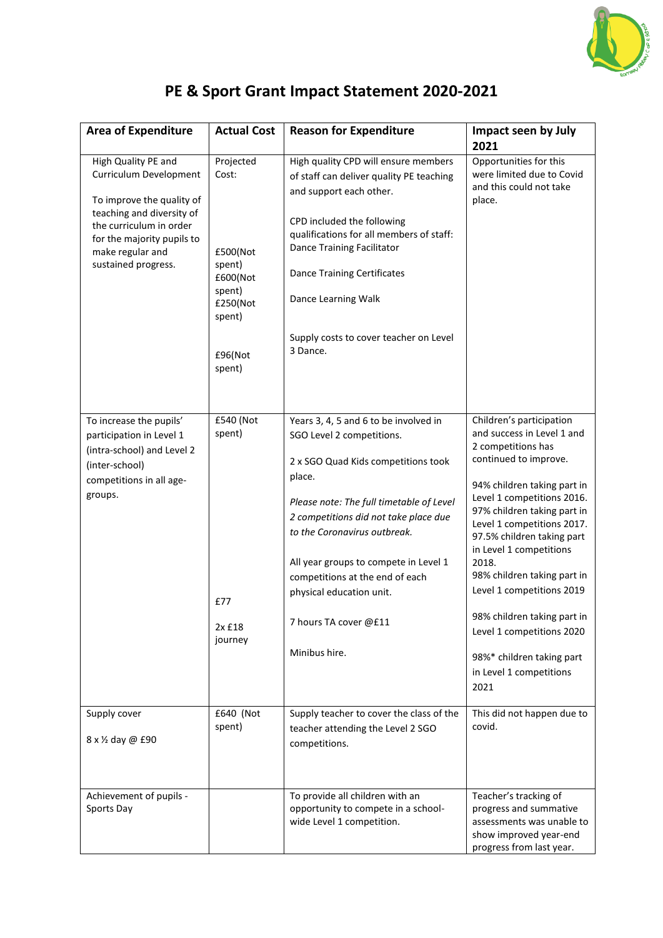

## **PE & Sport Grant Impact Statement 2020-2021**

| <b>Area of Expenditure</b>                                                                                                                                                                                  | <b>Actual Cost</b>                                                                                        | <b>Reason for Expenditure</b>                                                                                                                                                                                                                                                                                                                                                              | Impact seen by July<br>2021                                                                                                                                                                                                                                                                                                                                                                                                                                                               |
|-------------------------------------------------------------------------------------------------------------------------------------------------------------------------------------------------------------|-----------------------------------------------------------------------------------------------------------|--------------------------------------------------------------------------------------------------------------------------------------------------------------------------------------------------------------------------------------------------------------------------------------------------------------------------------------------------------------------------------------------|-------------------------------------------------------------------------------------------------------------------------------------------------------------------------------------------------------------------------------------------------------------------------------------------------------------------------------------------------------------------------------------------------------------------------------------------------------------------------------------------|
| High Quality PE and<br>Curriculum Development<br>To improve the quality of<br>teaching and diversity of<br>the curriculum in order<br>for the majority pupils to<br>make regular and<br>sustained progress. | Projected<br>Cost:<br>£500(Not<br>spent)<br>£600(Not<br>spent)<br>£250(Not<br>spent)<br>£96(Not<br>spent) | High quality CPD will ensure members<br>of staff can deliver quality PE teaching<br>and support each other.<br>CPD included the following<br>qualifications for all members of staff:<br>Dance Training Facilitator<br><b>Dance Training Certificates</b><br>Dance Learning Walk<br>Supply costs to cover teacher on Level<br>3 Dance.                                                     | Opportunities for this<br>were limited due to Covid<br>and this could not take<br>place.                                                                                                                                                                                                                                                                                                                                                                                                  |
| To increase the pupils'<br>participation in Level 1<br>(intra-school) and Level 2<br>(inter-school)<br>competitions in all age-<br>groups.                                                                  | £540 (Not<br>spent)<br>£77<br>2x £18<br>journey                                                           | Years 3, 4, 5 and 6 to be involved in<br>SGO Level 2 competitions.<br>2 x SGO Quad Kids competitions took<br>place.<br>Please note: The full timetable of Level<br>2 competitions did not take place due<br>to the Coronavirus outbreak.<br>All year groups to compete in Level 1<br>competitions at the end of each<br>physical education unit.<br>7 hours TA cover @£11<br>Minibus hire. | Children's participation<br>and success in Level 1 and<br>2 competitions has<br>continued to improve.<br>94% children taking part in<br>Level 1 competitions 2016.<br>97% children taking part in<br>Level 1 competitions 2017.<br>97.5% children taking part<br>in Level 1 competitions<br>2018.<br>98% children taking part in<br>Level 1 competitions 2019<br>98% children taking part in<br>Level 1 competitions 2020<br>98%* children taking part<br>in Level 1 competitions<br>2021 |
| Supply cover<br>8 x 1/2 day @ £90                                                                                                                                                                           | £640 (Not<br>spent)                                                                                       | Supply teacher to cover the class of the<br>teacher attending the Level 2 SGO<br>competitions.                                                                                                                                                                                                                                                                                             | This did not happen due to<br>covid.                                                                                                                                                                                                                                                                                                                                                                                                                                                      |
| Achievement of pupils -<br>Sports Day                                                                                                                                                                       |                                                                                                           | To provide all children with an<br>opportunity to compete in a school-<br>wide Level 1 competition.                                                                                                                                                                                                                                                                                        | Teacher's tracking of<br>progress and summative<br>assessments was unable to<br>show improved year-end<br>progress from last year.                                                                                                                                                                                                                                                                                                                                                        |